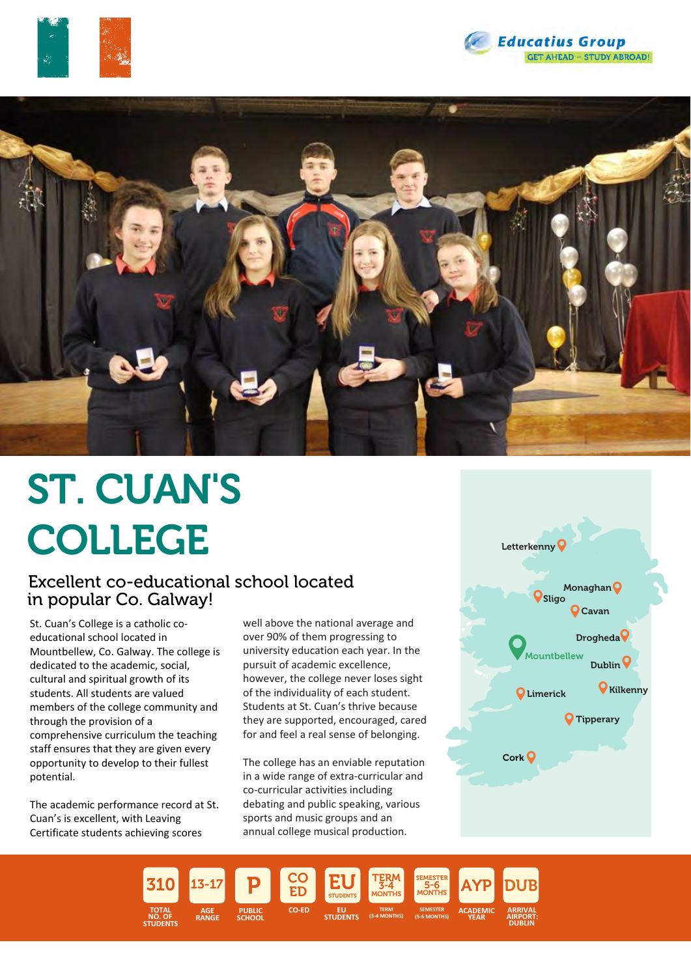





# ST. CUAN'S COLLEGE

## Excellent co-educational school located in popular Co. Galway!

St. Cuan's College is a catholic coeducational school located in Mountbellew, Co. Galway. The college is dedicated to the academic, social, cultural and spiritual growth of its students. All students are valued members of the college community and through the provision of a comprehensive curriculum the teaching staff ensures that they are given every opportunity to develop to their fullest potential.

The academic performance record at St. Cuan's is excellent, with Leaving Certificate students achieving scores

well above the national average and over 90% of them progressing to university education each year. In the pursuit of academic excellence, however, the college never loses sight of the individuality of each student. Students at St. Cuan's thrive because they are supported, encouraged, cared for and feel a real sense of belonging.

The college has an enviable reputation in a wide range of extra-curricular and co-curricular activities including debating and public speaking, various sports and music groups and an annual college musical production.



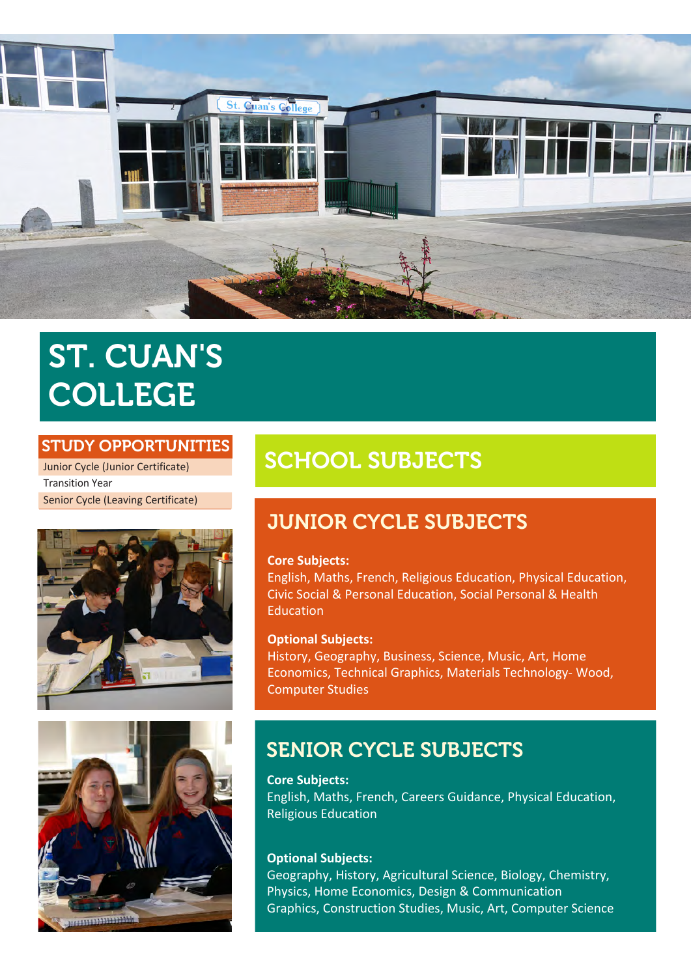

# ST. CUAN'S COLLEGE

### STUDY OPPORTUNITIES

Junior Cycle (Junior Certificate) Transition Year Senior Cycle (Leaving Certificate)





# SCHOOL SUBJECTS

# JUNIOR CYCLE SUBJECTS

### **Core Subjects:**

English, Maths, French, Religious Education, Physical Education, Civic Social & Personal Education, Social Personal & Health Education

### **Optional Subjects:**

History, Geography, Business, Science, Music, Art, Home Economics, Technical Graphics, Materials Technology- Wood, Computer Studies

# SENIOR CYCLE SUBJECTS

**Core Subjects:** English, Maths, French, Careers Guidance, Physical Education, Religious Education

### **Optional Subjects:**

Geography, History, Agricultural Science, Biology, Chemistry, Physics, Home Economics, Design & Communication Graphics, Construction Studies, Music, Art, Computer Science